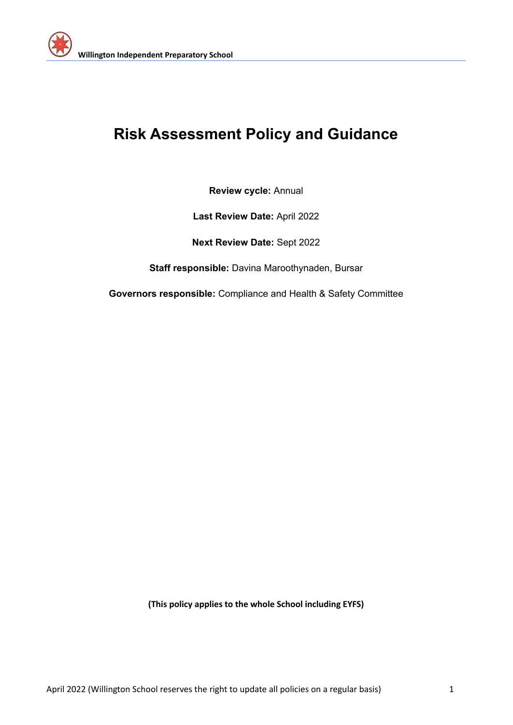

# **Risk Assessment Policy and Guidance**

**Review cycle:** Annual

**Last Review Date:** April 2022

**Next Review Date:** Sept 2022

**Staff responsible:** Davina Maroothynaden, Bursar

**Governors responsible:** Compliance and Health & Safety Committee

**(This policy applies to the whole School including EYFS)**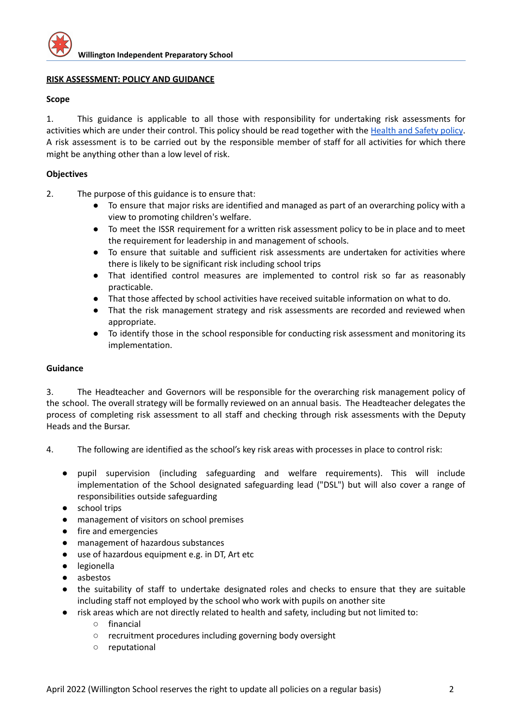## **RISK ASSESSMENT: POLICY AND GUIDANCE**

### **Scope**

1. This guidance is applicable to all those with responsibility for undertaking risk assessments for activities which are under their control. This policy should be read together with the [Health](https://docs.google.com/document/d/12Nx7aAOC1c7nT6ccrekM4jFFvse5nUl9/edit) and Safety policy. A risk assessment is to be carried out by the responsible member of staff for all activities for which there might be anything other than a low level of risk.

## **Objectives**

- 2. The purpose of this guidance is to ensure that:
	- To ensure that major risks are identified and managed as part of an overarching policy with a view to promoting children's welfare.
	- To meet the ISSR requirement for a written risk assessment policy to be in place and to meet the requirement for leadership in and management of schools.
	- To ensure that suitable and sufficient risk assessments are undertaken for activities where there is likely to be significant risk including school trips
	- That identified control measures are implemented to control risk so far as reasonably practicable.
	- That those affected by school activities have received suitable information on what to do.
	- That the risk management strategy and risk assessments are recorded and reviewed when appropriate.
	- To identify those in the school responsible for conducting risk assessment and monitoring its implementation.

## **Guidance**

3. The Headteacher and Governors will be responsible for the overarching risk management policy of the school. The overall strategy will be formally reviewed on an annual basis. The Headteacher delegates the process of completing risk assessment to all staff and checking through risk assessments with the Deputy Heads and the Bursar.

- 4. The following are identified as the school's key risk areas with processes in place to control risk:
	- pupil supervision (including safeguarding and welfare requirements). This will include implementation of the School designated safeguarding lead ("DSL") but will also cover a range of responsibilities outside safeguarding
	- school trips
	- management of visitors on school premises
	- fire and emergencies
	- management of hazardous substances
	- use of hazardous equipment e.g. in DT, Art etc
	- legionella
	- asbestos
	- the suitability of staff to undertake designated roles and checks to ensure that they are suitable including staff not employed by the school who work with pupils on another site
	- risk areas which are not directly related to health and safety, including but not limited to:
		- financial
		- recruitment procedures including governing body oversight
		- reputational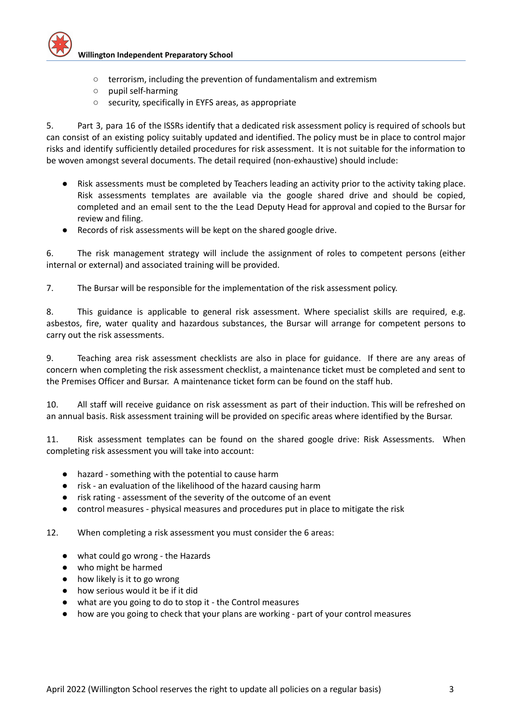

- terrorism, including the prevention of fundamentalism and extremism
- pupil self-harming
- security, specifically in EYFS areas, as appropriate

5. Part 3, para 16 of the ISSRs identify that a dedicated risk assessment policy is required of schools but can consist of an existing policy suitably updated and identified. The policy must be in place to control major risks and identify sufficiently detailed procedures for risk assessment. It is not suitable for the information to be woven amongst several documents. The detail required (non-exhaustive) should include:

- Risk assessments must be completed by Teachers leading an activity prior to the activity taking place. Risk assessments templates are available via the google shared drive and should be copied, completed and an email sent to the the Lead Deputy Head for approval and copied to the Bursar for review and filing.
- Records of risk assessments will be kept on the shared google drive.

6. The risk management strategy will include the assignment of roles to competent persons (either internal or external) and associated training will be provided.

7. The Bursar will be responsible for the implementation of the risk assessment policy.

8. This guidance is applicable to general risk assessment. Where specialist skills are required, e.g. asbestos, fire, water quality and hazardous substances, the Bursar will arrange for competent persons to carry out the risk assessments.

9. Teaching area risk assessment checklists are also in place for guidance. If there are any areas of concern when completing the risk assessment checklist, a maintenance ticket must be completed and sent to the Premises Officer and Bursar. A maintenance ticket form can be found on the staff hub.

10. All staff will receive guidance on risk assessment as part of their induction. This will be refreshed on an annual basis. Risk assessment training will be provided on specific areas where identified by the Bursar.

11. Risk assessment templates can be found on the shared google drive: Risk Assessments. When completing risk assessment you will take into account:

- hazard something with the potential to cause harm
- risk an evaluation of the likelihood of the hazard causing harm
- risk rating assessment of the severity of the outcome of an event
- control measures physical measures and procedures put in place to mitigate the risk

12. When completing a risk assessment you must consider the 6 areas:

- what could go wrong the Hazards
- who might be harmed
- how likely is it to go wrong
- how serious would it be if it did
- what are you going to do to stop it the Control measures
- how are you going to check that your plans are working part of your control measures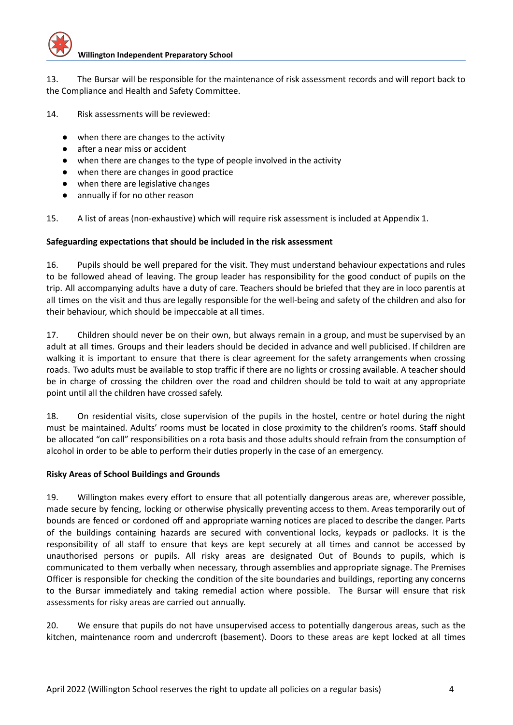

13. The Bursar will be responsible for the maintenance of risk assessment records and will report back to the Compliance and Health and Safety Committee.

14. Risk assessments will be reviewed:

- when there are changes to the activity
- after a near miss or accident
- when there are changes to the type of people involved in the activity
- when there are changes in good practice
- when there are legislative changes
- annually if for no other reason

15. A list of areas (non-exhaustive) which will require risk assessment is included at Appendix 1.

## **Safeguarding expectations that should be included in the risk assessment**

16. Pupils should be well prepared for the visit. They must understand behaviour expectations and rules to be followed ahead of leaving. The group leader has responsibility for the good conduct of pupils on the trip. All accompanying adults have a duty of care. Teachers should be briefed that they are in loco parentis at all times on the visit and thus are legally responsible for the well-being and safety of the children and also for their behaviour, which should be impeccable at all times.

17. Children should never be on their own, but always remain in a group, and must be supervised by an adult at all times. Groups and their leaders should be decided in advance and well publicised. If children are walking it is important to ensure that there is clear agreement for the safety arrangements when crossing roads. Two adults must be available to stop traffic if there are no lights or crossing available. A teacher should be in charge of crossing the children over the road and children should be told to wait at any appropriate point until all the children have crossed safely.

18. On residential visits, close supervision of the pupils in the hostel, centre or hotel during the night must be maintained. Adults' rooms must be located in close proximity to the children's rooms. Staff should be allocated "on call" responsibilities on a rota basis and those adults should refrain from the consumption of alcohol in order to be able to perform their duties properly in the case of an emergency.

## **Risky Areas of School Buildings and Grounds**

19. Willington makes every effort to ensure that all potentially dangerous areas are, wherever possible, made secure by fencing, locking or otherwise physically preventing access to them. Areas temporarily out of bounds are fenced or cordoned off and appropriate warning notices are placed to describe the danger. Parts of the buildings containing hazards are secured with conventional locks, keypads or padlocks. It is the responsibility of all staff to ensure that keys are kept securely at all times and cannot be accessed by unauthorised persons or pupils. All risky areas are designated Out of Bounds to pupils, which is communicated to them verbally when necessary, through assemblies and appropriate signage. The Premises Officer is responsible for checking the condition of the site boundaries and buildings, reporting any concerns to the Bursar immediately and taking remedial action where possible. The Bursar will ensure that risk assessments for risky areas are carried out annually.

20. We ensure that pupils do not have unsupervised access to potentially dangerous areas, such as the kitchen, maintenance room and undercroft (basement). Doors to these areas are kept locked at all times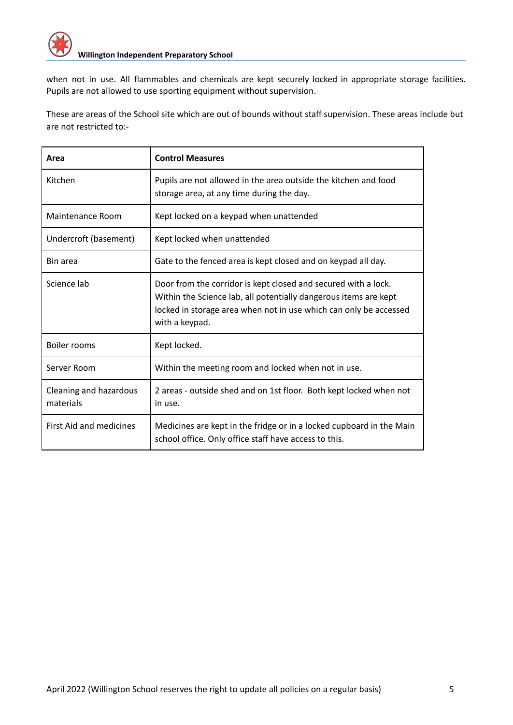

when not in use. All flammables and chemicals are kept securely locked in appropriate storage facilities. Pupils are not allowed to use sporting equipment without supervision.

These are areas of the School site which are out of bounds without staff supervision. These areas include but are not restricted to:-

| Area                                | <b>Control Measures</b>                                                                                                                                                                                                   |
|-------------------------------------|---------------------------------------------------------------------------------------------------------------------------------------------------------------------------------------------------------------------------|
| Kitchen                             | Pupils are not allowed in the area outside the kitchen and food<br>storage area, at any time during the day.                                                                                                              |
| Maintenance Room                    | Kept locked on a keypad when unattended                                                                                                                                                                                   |
| Undercroft (basement)               | Kept locked when unattended                                                                                                                                                                                               |
| Bin area                            | Gate to the fenced area is kept closed and on keypad all day.                                                                                                                                                             |
| Science lab                         | Door from the corridor is kept closed and secured with a lock.<br>Within the Science lab, all potentially dangerous items are kept<br>locked in storage area when not in use which can only be accessed<br>with a keypad. |
| Boiler rooms                        | Kept locked.                                                                                                                                                                                                              |
| Server Room                         | Within the meeting room and locked when not in use.                                                                                                                                                                       |
| Cleaning and hazardous<br>materials | 2 areas - outside shed and on 1st floor. Both kept locked when not<br>in use.                                                                                                                                             |
| First Aid and medicines             | Medicines are kept in the fridge or in a locked cupboard in the Main<br>school office. Only office staff have access to this.                                                                                             |